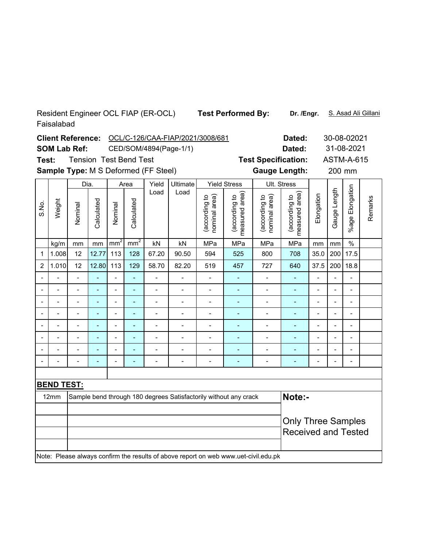Resident Engineer OCL FIAP (ER-OCL) Faisalabad

Test Performed By: Dr. /Engr. S. Asad Ali Gillani

**Dr. /Engr.**

**Dated:** 30-08-02021 OCL/C-126/CAA-FIAP/2021/3008/681 **Client Reference:** 31-08-2021 **SOM Lab Ref:** CED/SOM/4894(Page-1/1) **Dated:** Tension Test Bend Test **Test Specification:** ASTM-A-615 **Test:** Sample Type: M S Deformed (FF Steel) **Cauge Length:** 200 mm **Gauge Length:** 200 mm Dia. Area Yield Ultimate Yield Stress Ult. Stress %age Elongation %age Elongation Load Load (according to<br>measured area) (according to<br>measured area) Gauge Length Gauge Length (according to<br>nominal area) measured area) (according to<br>nominal area) measured area) **Elongation** (according to (according to (according to (according to nominal area) nominal area) Remarks Remarks Weight Calculated Calculated S.No. Calculated Calculated Nominal Nominal kg/m | mm | mm | mm² | nm² | kN | kN | MPa | MPa | MPa | MPa | mm | mm | % 1 |1.008| 12 |12.77| 113 | 128 | 67.20 | 90.50 | 594 | 525 | 800 | 708 | 35.0 | 200 | 17.5 2 |1.010| 12 |12.80| 113 | 129 | 58.70 | 82.20 | 519 | 457 | 727 | 640 | 37.5 | 200 | 18.8 -- - - - - - - - - - - - -- -- - - - - - - - - - - - -- -- - - - - - - - - - - - -- -- - - - - - - - - - - - -- -- - - - - - - - - - - - -- -- - - - - - - - - - - - -- -- - - - - - - - - - - - -- -- - - - - - - - - - - - -- **BEND TEST:** 12mm Sample bend through 180 degrees Satisfactorily without any crack **Note:**-Only Three Samples Received and Tested Note: Please always confirm the results of above report on web www.uet-civil.edu.pk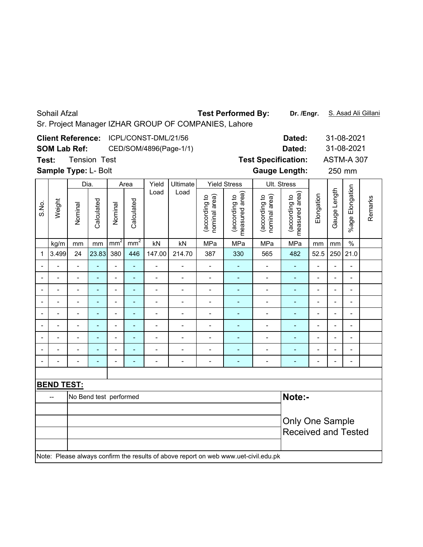| Sohail Afzal |  |
|--------------|--|
|--------------|--|

Test Performed By: Dr. /Engr. S. Asad Ali Gillani

Sr. Project Manager IZHAR GROUP OF COMPANIES, Lahore

| Test:        |                          | <b>Client Reference:</b><br><b>SOM Lab Ref:</b><br><b>Tension Test</b><br>Sample Type: L- Bolt |                |                          |                 | ICPL/CONST-DML/21/56<br>CED/SOM/4896(Page-1/1)<br><b>Test Specification:</b> |                          |                                |                                 | Dated:<br>Dated:<br><b>Gauge Length:</b>                                            | 31-08-2021<br>31-08-2021<br><b>ASTM-A 307</b><br>250 mm |                          |                |                          |         |
|--------------|--------------------------|------------------------------------------------------------------------------------------------|----------------|--------------------------|-----------------|------------------------------------------------------------------------------|--------------------------|--------------------------------|---------------------------------|-------------------------------------------------------------------------------------|---------------------------------------------------------|--------------------------|----------------|--------------------------|---------|
|              |                          | Dia.                                                                                           |                |                          | Area            | Yield                                                                        | Ultimate                 |                                | <b>Yield Stress</b>             |                                                                                     | Ult. Stress                                             |                          |                |                          |         |
| S.No.        | Weight                   | Nominal                                                                                        | Calculated     | Nominal                  | Calculated      | Load                                                                         | Load                     | (according to<br>nominal area) | measured area)<br>(according to | nominal area)<br>(according to                                                      | area)<br>(according to<br>measured                      | Elongation               | Gauge Length   | %age Elongation          | Remarks |
|              | kg/m                     | mm                                                                                             | mm             | mm <sup>2</sup>          | mm <sup>2</sup> | kN                                                                           | kN                       | MPa                            | MPa                             | MPa                                                                                 | MPa                                                     | mm                       | mm             | $\%$                     |         |
| $\mathbf{1}$ | 3.499                    | 24                                                                                             | 23.83          | 380                      | 446             | 147.00                                                                       | 214.70                   | 387                            | 330                             | 565                                                                                 | 482                                                     | 52.5                     | 250            | 21.0                     |         |
|              | $\blacksquare$           | $\overline{\phantom{0}}$                                                                       | ÷              | $\overline{a}$           | $\blacksquare$  | $\overline{a}$                                                               | $\overline{\phantom{0}}$ | $\blacksquare$                 | $\blacksquare$                  | $\overline{\phantom{0}}$                                                            | ٠                                                       | $\overline{a}$           | $\blacksquare$ | $\overline{\phantom{a}}$ |         |
|              |                          | $\blacksquare$                                                                                 | ÷              | $\overline{\phantom{a}}$ | ÷,              | $\overline{a}$                                                               |                          |                                | ÷                               | -                                                                                   | ٠                                                       | -                        |                | $\blacksquare$           |         |
|              | $\overline{a}$           | $\blacksquare$                                                                                 | ÷,             | $\blacksquare$           | ÷,              | $\qquad \qquad \blacksquare$                                                 | $\overline{\phantom{0}}$ | $\overline{a}$                 | $\blacksquare$                  | $\qquad \qquad \blacksquare$                                                        | ÷,                                                      | $\overline{\phantom{0}}$ | ÷              | $\overline{\phantom{a}}$ |         |
|              |                          | $\overline{a}$                                                                                 | L.             | $\overline{a}$           | ÷,              | $\overline{a}$                                                               | $\overline{\phantom{m}}$ | Ĭ.                             | L,                              | $\overline{a}$                                                                      | ÷,                                                      | $\overline{\phantom{0}}$ | L,             | $\overline{\phantom{a}}$ |         |
|              |                          | $\overline{a}$                                                                                 | ÷              | $\overline{a}$           | ÷,              | $\overline{a}$                                                               | $\overline{\phantom{m}}$ | ÷                              | Ξ.                              | $\overline{a}$                                                                      | ۰                                                       | $\overline{\phantom{0}}$ | ÷              | $\overline{\phantom{m}}$ |         |
|              | $\overline{a}$           | $\overline{a}$                                                                                 | $\blacksquare$ | $\overline{a}$           | ä,              | $\overline{a}$                                                               | $\overline{\phantom{0}}$ | $\overline{a}$                 | ٠                               | $\overline{\phantom{0}}$                                                            | $\blacksquare$                                          | $\overline{a}$           | $\overline{a}$ | $\blacksquare$           |         |
|              | $\overline{\phantom{a}}$ | $\overline{\phantom{0}}$                                                                       | $\blacksquare$ | $\overline{a}$           | ÷,              | $\overline{a}$                                                               | $\overline{\phantom{0}}$ | $\overline{\phantom{a}}$       | $\blacksquare$                  | $\overline{\phantom{0}}$                                                            | $\blacksquare$                                          | $\overline{a}$           | L,             | $\overline{\phantom{a}}$ |         |
|              |                          | $\overline{a}$                                                                                 |                |                          |                 | $\overline{a}$                                                               |                          |                                |                                 | $\overline{a}$                                                                      | ÷,                                                      | $\overline{\phantom{0}}$ |                | ÷                        |         |
|              |                          |                                                                                                |                | $\overline{a}$           | L,              | $\overline{a}$                                                               |                          | $\overline{a}$                 |                                 |                                                                                     | ÷,                                                      |                          |                | $\overline{\phantom{a}}$ |         |
|              |                          |                                                                                                |                |                          |                 |                                                                              |                          |                                |                                 |                                                                                     |                                                         |                          |                |                          |         |
|              | <b>BEND TEST:</b>        |                                                                                                |                |                          |                 |                                                                              |                          |                                |                                 |                                                                                     |                                                         |                          |                |                          |         |
|              | Щ.                       | No Bend test performed                                                                         |                |                          |                 |                                                                              |                          |                                |                                 |                                                                                     | Note:-                                                  |                          |                |                          |         |
|              |                          |                                                                                                |                |                          |                 |                                                                              |                          |                                |                                 |                                                                                     |                                                         |                          |                |                          |         |
|              |                          |                                                                                                |                |                          |                 |                                                                              |                          |                                |                                 |                                                                                     | <b>Only One Sample</b>                                  |                          |                |                          |         |
|              |                          |                                                                                                |                |                          |                 |                                                                              |                          |                                |                                 |                                                                                     | <b>Received and Tested</b>                              |                          |                |                          |         |
|              |                          |                                                                                                |                |                          |                 |                                                                              |                          |                                |                                 | Note: Please always confirm the results of above report on web www.uet-civil.edu.pk |                                                         |                          |                |                          |         |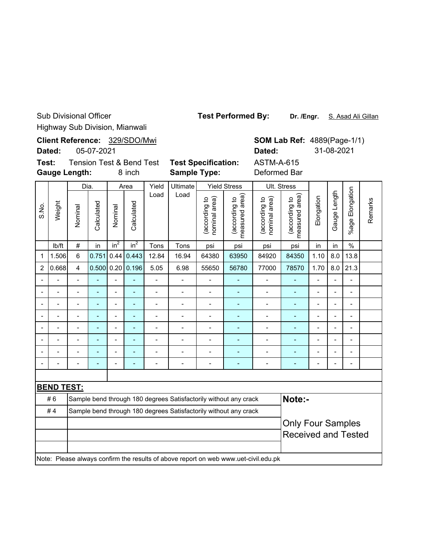Highway Sub Division, Mianwali Sub Divisional Officer

**Dr. /Engr.** S. Asad Ali Gillan

Remarks

Remarks

329/SDO/Mwi **Client Reference: SOM Lab Ref: 4889(Page-1/1) Dated:** 31-08-2021 **Dated:** 05-07-2021 **Test:** Tension Test & Bend Test **Test Specification:** ASTM-A-615 **Gauge Length:** 8 inch **Sample Type:** Deformed Bar Dia. Area Yield Ultimate Yield Stress Ult. Stress %age Elongation %age Elongation Gauge Length Load Load (according to<br>measured area) (according to<br>measured area) Gauge Length (according to<br>nominal area) measured area) (according to<br>nominal area) measured area) (according to (according to (according to (according to Elongation nominal area) nominal area) Weight Calculated Calculated S.No. Calculated Calculated Nominal Nominal lb/ft  $\mid$  #  $\mid$  in  $\mid$  in $^{2}$   $\mid$  in $^{2}$   $\mid$  Tons  $\mid$  Tons  $\mid$  psi  $\mid$  psi  $\mid$  psi  $\mid$  in  $\mid$  in  $\mid$  % 1 1.506 6 0.751 0.44 0.443 12.84 16.94 64380 63950 84920 84350 1.10 8.0 13.8 2 |0.668| 4 |0.500| 0.20| 0.196| 5.05 | 6.98 | 55650 | 56780 | 77000 | 78570 |1.70 | 8.0 |21.3 -- - - - - - - - - - - - -- -- - - - - - - - - - - - -- -- - - - - - - - - - - - -- -- - - - - - - - - - - - -- -- - - - - - - - - - - - -- -- - - - - - - - - - - - -- -- - - - - - - - - - - - -- -- - - - - - - - - - - - -- **BEND TEST:** #6 Sample bend through 180 degrees Satisfactorily without any crack **Note:-** #4 Sample bend through 180 degrees Satisfactorily without any crack Only Four Samples Received and Tested Note: Please always confirm the results of above report on web www.uet-civil.edu.pk

**Test Performed By:**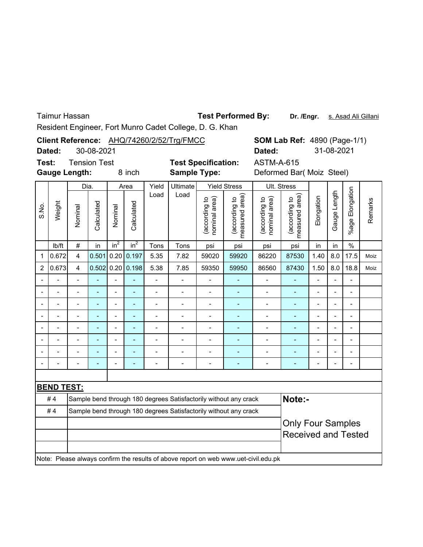Taimur Hassan

**Test Performed By:** Dr. /Engr. s. Asad Ali Gillani

Resident Engineer, Fort Munro Cadet College, D. G. Khan

|                |                   |                          |            |                |                          |                              | Client Reference: AHQ/74260/2/52/Trg/FMCC                        |                                |                                 |                                                                                     | <b>SOM Lab Ref: 4890 (Page-1/1)</b> |                          |                |                              |         |  |
|----------------|-------------------|--------------------------|------------|----------------|--------------------------|------------------------------|------------------------------------------------------------------|--------------------------------|---------------------------------|-------------------------------------------------------------------------------------|-------------------------------------|--------------------------|----------------|------------------------------|---------|--|
|                | Dated:            |                          | 30-08-2021 |                |                          |                              |                                                                  |                                |                                 | Dated:                                                                              |                                     |                          | 31-08-2021     |                              |         |  |
| Test:          |                   | <b>Tension Test</b>      |            |                |                          |                              |                                                                  | <b>Test Specification:</b>     |                                 | <b>ASTM-A-615</b>                                                                   |                                     |                          |                |                              |         |  |
|                |                   | <b>Gauge Length:</b>     |            |                | 8 inch                   | <b>Sample Type:</b>          |                                                                  |                                |                                 |                                                                                     | Deformed Bar( Moiz Steel)           |                          |                |                              |         |  |
|                |                   | Dia.                     |            |                | Area                     | Yield                        | Ultimate                                                         |                                | <b>Yield Stress</b>             |                                                                                     | Ult. Stress                         |                          |                |                              |         |  |
| S.No.          | Weight            | Nominal                  | Calculated | Nominal        | Calculated               | Load                         | Load                                                             | (according to<br>nominal area) | measured area)<br>(according to | (according to<br>nominal area)                                                      | measured area)<br>(according to     | Elongation               | Gauge Length   | %age Elongation              | Remarks |  |
|                | Ib/ft             | $\#$                     | in         | $in^2$         | in <sup>2</sup>          | Tons                         | Tons                                                             | psi                            | psi                             | psi                                                                                 | psi                                 | in                       | in             | $\frac{0}{0}$                |         |  |
| 1              | 0.672             | $\overline{\mathbf{4}}$  | 0.501      | 0.20           | 0.197                    | 5.35                         | 7.82                                                             | 59020                          | 59920                           | 86220                                                                               | 87530                               | 1.40                     | 8.0            | 17.5                         | Moiz    |  |
| $\overline{c}$ | 0.673             | 4                        | 0.502      |                | 0.20   0.198             | 5.38                         | 7.85                                                             | 59350                          | 59950                           | 86560                                                                               | 87430                               | 1.50                     | 8.0            | 18.8                         | Moiz    |  |
|                |                   | $\overline{a}$           |            |                |                          | $\overline{a}$               |                                                                  |                                |                                 |                                                                                     |                                     |                          |                |                              |         |  |
|                | $\overline{a}$    | $\overline{a}$           |            |                | ä,                       | $\overline{\phantom{0}}$     | $\overline{\phantom{0}}$                                         | Ξ.                             |                                 | $\overline{\phantom{0}}$                                                            | ä,                                  | $\overline{\phantom{0}}$ |                | $\overline{\phantom{0}}$     |         |  |
|                |                   | $\overline{a}$           |            | $\overline{a}$ | ÷                        | $\overline{\phantom{0}}$     |                                                                  | $\overline{\phantom{a}}$       |                                 | $\qquad \qquad \blacksquare$                                                        | ۰                                   | $\overline{a}$           | $\blacksquare$ | $\blacksquare$               |         |  |
|                |                   |                          |            |                | $\overline{a}$           |                              |                                                                  |                                |                                 | $\overline{a}$                                                                      | ÷,                                  | -                        |                | Ĭ.                           |         |  |
|                |                   | $\overline{\phantom{0}}$ |            | $\overline{a}$ | $\overline{\phantom{0}}$ | $\qquad \qquad \blacksquare$ | $\overline{a}$                                                   | $\overline{\phantom{0}}$       | ٠                               | -                                                                                   | ۰                                   | $\overline{a}$           |                | $\qquad \qquad \blacksquare$ |         |  |
|                |                   | $\overline{a}$           |            |                | $\overline{\phantom{a}}$ | $\overline{\phantom{0}}$     | $\overline{a}$                                                   | $\blacksquare$                 | ÷                               | $\overline{a}$                                                                      | ÷,                                  | $\overline{a}$           |                | $\overline{a}$               |         |  |
|                |                   |                          |            | $\overline{a}$ | ÷                        | $\overline{a}$               |                                                                  | $\blacksquare$                 |                                 | $\overline{a}$                                                                      | ÷,                                  | $\overline{a}$           |                | $\overline{a}$               |         |  |
|                |                   |                          |            |                |                          |                              |                                                                  |                                |                                 | $\overline{a}$                                                                      |                                     |                          |                |                              |         |  |
|                |                   |                          |            |                |                          |                              |                                                                  |                                |                                 |                                                                                     |                                     |                          |                |                              |         |  |
|                | <b>BEND TEST:</b> |                          |            |                |                          |                              |                                                                  |                                |                                 |                                                                                     |                                     |                          |                |                              |         |  |
|                | #4                |                          |            |                |                          |                              | Sample bend through 180 degrees Satisfactorily without any crack |                                |                                 |                                                                                     | Note:-                              |                          |                |                              |         |  |
|                | #4                |                          |            |                |                          |                              | Sample bend through 180 degrees Satisfactorily without any crack |                                |                                 |                                                                                     |                                     |                          |                |                              |         |  |
|                |                   |                          |            |                |                          |                              |                                                                  |                                |                                 |                                                                                     | <b>Only Four Samples</b>            |                          |                |                              |         |  |
|                |                   |                          |            |                |                          |                              |                                                                  |                                |                                 | <b>Received and Tested</b>                                                          |                                     |                          |                |                              |         |  |
|                |                   |                          |            |                |                          |                              |                                                                  |                                |                                 | Note: Please always confirm the results of above report on web www.uet-civil.edu.pk |                                     |                          |                |                              |         |  |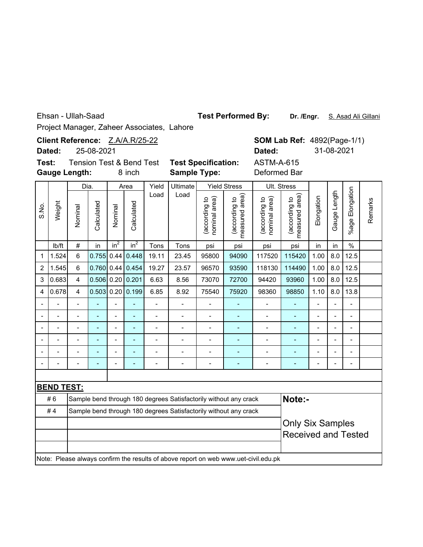Ehsan - Ullah-Saad<br>Preject Marener 7

**Dr. /Engr.** S. Asad Ali Gillani **Test Performed By:**

Remarks

Remarks

Project Manager, Zaheer Associates, Lahore

|                                                                   |                   |                          |                |                |                                               |                | Project Manager, Zaheer Associates, Lahore                                          |                                |                                 |                                |                                                  |                |                |                    |  |
|-------------------------------------------------------------------|-------------------|--------------------------|----------------|----------------|-----------------------------------------------|----------------|-------------------------------------------------------------------------------------|--------------------------------|---------------------------------|--------------------------------|--------------------------------------------------|----------------|----------------|--------------------|--|
| Client Reference: Z.A/A.R/25-22<br>25-08-2021<br>Dated:<br>Dated: |                   |                          |                |                |                                               |                |                                                                                     |                                |                                 |                                | <b>SOM Lab Ref: 4892(Page-1/1)</b><br>31-08-2021 |                |                |                    |  |
| Test:                                                             |                   | <b>Gauge Length:</b>     |                |                | <b>Tension Test &amp; Bend Test</b><br>8 inch |                | <b>Test Specification:</b><br><b>Sample Type:</b>                                   |                                |                                 | <b>ASTM-A-615</b>              | Deformed Bar                                     |                |                |                    |  |
|                                                                   |                   | Dia.                     |                |                | Area                                          | Yield          | Ultimate                                                                            |                                | <b>Yield Stress</b>             |                                | Ult. Stress                                      |                |                |                    |  |
| S.No.                                                             | Weight            | Nominal                  | Calculated     | Nominal        | Calculated                                    | Load           | Load                                                                                | nominal area)<br>(according to | (according to<br>measured area) | nominal area)<br>(according to | measured area)<br>(according to                  | Elongation     | Gauge Length   | Elongation<br>%age |  |
|                                                                   | lb/ft             | #                        | in             | $in^2$         | $in^2$                                        | Tons           | Tons                                                                                | psi                            | psi                             | psi                            | psi                                              | in             | in             | $\frac{0}{0}$      |  |
| 1                                                                 | 1.524             | $6\phantom{a}$           | 0.755          | 0.44           | 0.448                                         | 19.11          | 23.45                                                                               | 95800                          | 94090                           | 117520                         | 115420                                           | 1.00           | 8.0            | 12.5               |  |
| $\overline{2}$                                                    | 1.545             | 6                        | 0.760          | 0.44           | 0.454                                         | 19.27          | 23.57                                                                               | 96570                          | 93590                           | 118130                         | 114490                                           | 1.00           | 8.0            | 12.5               |  |
| 3                                                                 | 0.683             | 4                        | 0.506          |                | 0.20   0.201                                  | 6.63           | 8.56                                                                                | 73070                          | 72700                           | 94420                          | 93960                                            | 1.00           | 8.0            | 12.5               |  |
| 4                                                                 | 0.678             | $\overline{\mathbf{4}}$  | $0.503$ 0.20   |                | 0.199                                         | 6.85           | 8.92                                                                                | 75540                          | 75920                           | 98360                          | 98850                                            | 1.10           | 8.0            | 13.8               |  |
| $\overline{\phantom{a}}$                                          | L,                | $\overline{a}$           |                | $\blacksquare$ | ÷,                                            | $\overline{a}$ | $\overline{\phantom{0}}$                                                            | $\overline{a}$                 | ä,                              | $\overline{a}$                 | ÷,                                               | $\overline{a}$ | $\overline{a}$ | L,                 |  |
|                                                                   |                   |                          |                |                | L,                                            | $\overline{a}$ |                                                                                     | $\overline{a}$                 |                                 |                                |                                                  | L,             |                |                    |  |
| $\overline{\phantom{a}}$                                          | L,                | $\overline{a}$           | $\blacksquare$ | $\blacksquare$ | ÷,                                            | $\overline{a}$ | $\overline{\phantom{0}}$                                                            | $\overline{\phantom{a}}$       | ÷,                              | $\blacksquare$                 | $\blacksquare$                                   | $\overline{a}$ | $\overline{a}$ | $\blacksquare$     |  |
| $\blacksquare$                                                    |                   | $\overline{\phantom{a}}$ | $\overline{a}$ | $\blacksquare$ | ÷                                             | $\overline{a}$ | $\blacksquare$                                                                      | $\blacksquare$                 | ä,                              | $\blacksquare$                 | L,                                               | L,             | $\blacksquare$ | $\blacksquare$     |  |
|                                                                   |                   | $\overline{a}$           |                | $\overline{a}$ | ÷,                                            | $\overline{a}$ | $\overline{a}$                                                                      | $\overline{a}$                 | ÷,                              |                                | $\overline{a}$                                   | L,             | $\overline{a}$ | L,                 |  |
|                                                                   | $\overline{a}$    | $\overline{a}$           |                | $\blacksquare$ | $\blacksquare$                                | $\overline{a}$ | $\overline{a}$                                                                      | $\overline{a}$                 | ä,                              | $\overline{a}$                 | L,                                               | $\overline{a}$ |                | L,                 |  |
|                                                                   |                   |                          |                |                |                                               |                |                                                                                     |                                |                                 |                                |                                                  |                |                |                    |  |
|                                                                   | <b>BEND TEST:</b> |                          |                |                |                                               |                |                                                                                     |                                |                                 |                                |                                                  |                |                |                    |  |
|                                                                   | #6                |                          |                |                |                                               |                | Sample bend through 180 degrees Satisfactorily without any crack                    |                                |                                 |                                | Note:-                                           |                |                |                    |  |
|                                                                   | #4                |                          |                |                |                                               |                | Sample bend through 180 degrees Satisfactorily without any crack                    |                                |                                 |                                |                                                  |                |                |                    |  |
|                                                                   |                   |                          |                |                |                                               |                |                                                                                     |                                |                                 |                                | <b>Only Six Samples</b>                          |                |                |                    |  |
|                                                                   |                   |                          |                |                |                                               |                |                                                                                     |                                |                                 |                                | <b>Received and Tested</b>                       |                |                |                    |  |
|                                                                   |                   |                          |                |                |                                               |                | Note: Please always confirm the results of above report on web www.uet-civil.edu.pk |                                |                                 |                                |                                                  |                |                |                    |  |
|                                                                   |                   |                          |                |                |                                               |                |                                                                                     |                                |                                 |                                |                                                  |                |                |                    |  |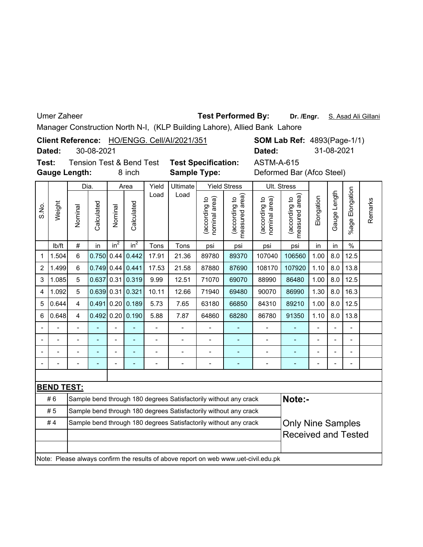## Umer Zaheer

## **Test Performed By:**

Dr. /Engr. S. Asad Ali Gillani

Manager Construction North N-I, (KLP Building Lahore), Allied Bank Lahore

|        |            | Client Reference: HO/ENGG. Cell/Al/2021/351 |  |
|--------|------------|---------------------------------------------|--|
| Dated: | 30-08-2021 |                                             |  |

**SOM Lab Ref: 4893(Page-1/1) Dated:** 31-08-2021

**Test:** Tension Test & Bend Test **Test Specification: Gauge Length:**

**Sample Type:**

8 inch **Sample Type:** Deformed Bar (Afco Steel) ASTM-A-615

| Gauge Length             | %age Elongation                                          | Remarks                    |  |
|--------------------------|----------------------------------------------------------|----------------------------|--|
|                          |                                                          |                            |  |
|                          | $\frac{0}{0}$                                            |                            |  |
| 8.0                      | 12.5                                                     |                            |  |
| 8.0                      | 13.8                                                     |                            |  |
| 8.0                      | 12.5                                                     |                            |  |
| 8.0                      | 16.3                                                     |                            |  |
| 8.0                      | 12.5                                                     |                            |  |
| 8.0                      | 13.8                                                     |                            |  |
|                          |                                                          |                            |  |
| $\blacksquare$           |                                                          |                            |  |
| $\overline{a}$           |                                                          |                            |  |
| $\blacksquare$           |                                                          |                            |  |
|                          |                                                          |                            |  |
|                          |                                                          |                            |  |
|                          |                                                          |                            |  |
|                          |                                                          |                            |  |
| <b>Only Nine Samples</b> |                                                          |                            |  |
|                          |                                                          |                            |  |
|                          |                                                          |                            |  |
|                          |                                                          |                            |  |
|                          | in<br>in<br>1.00<br>1.10<br>1.00<br>1.30<br>1.00<br>1.10 | <b>Received and Tested</b> |  |